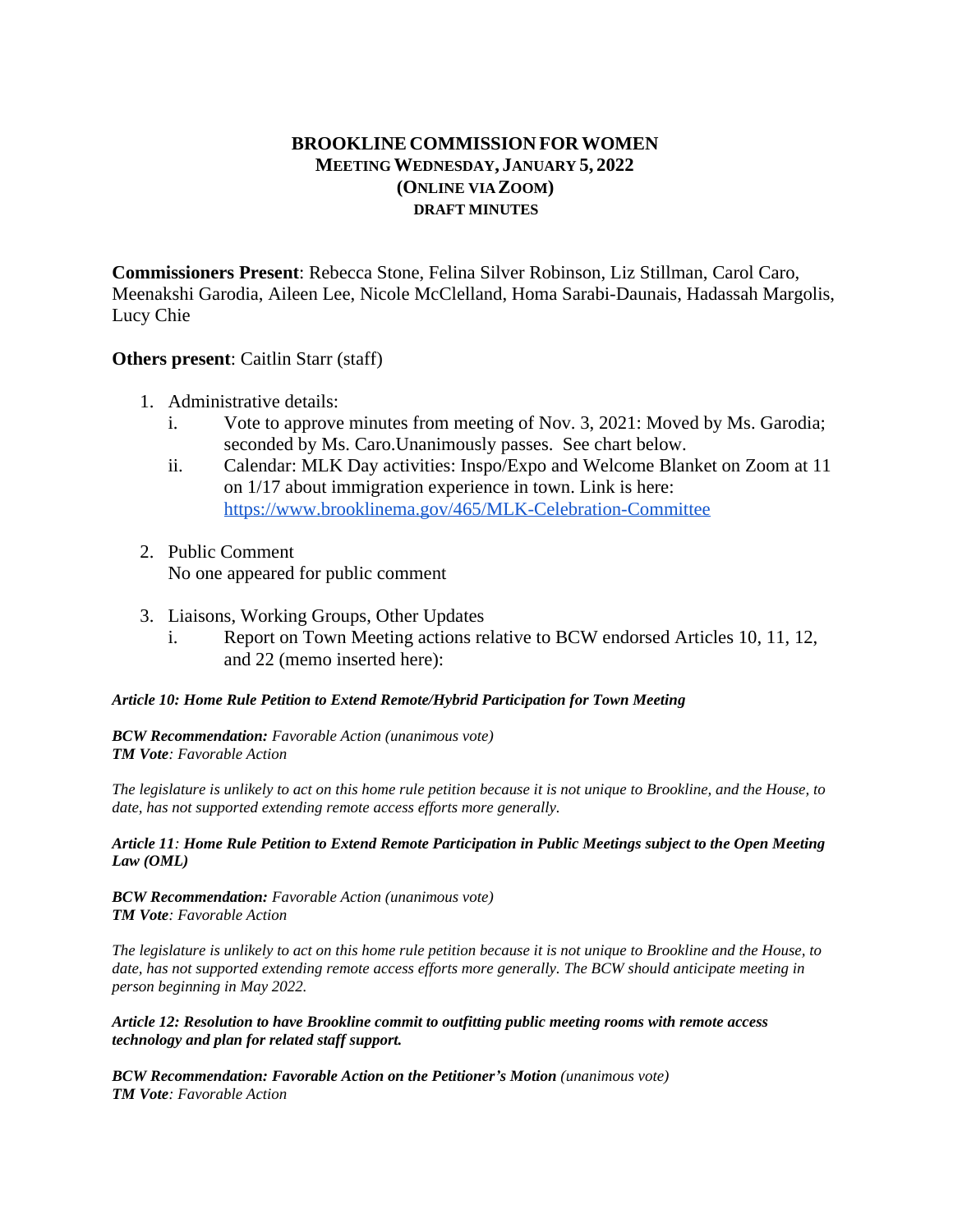# **BROOKLINE COMMISSION FORWOMEN MEETING WEDNESDAY, JANUARY 5, 2022 (ONLINE VIA ZOOM) DRAFT MINUTES**

**Commissioners Present**: Rebecca Stone, Felina Silver Robinson, Liz Stillman, Carol Caro, Meenakshi Garodia, Aileen Lee, Nicole McClelland, Homa Sarabi-Daunais, Hadassah Margolis, Lucy Chie

## **Others present**: Caitlin Starr (staff)

- 1. Administrative details:
	- i. Vote to approve minutes from meeting of Nov. 3, 2021: Moved by Ms. Garodia; seconded by Ms. Caro.Unanimously passes. See chart below.
	- ii. Calendar: MLK Day activities: Inspo/Expo and Welcome Blanket on Zoom at 11 on 1/17 about immigration experience in town. Link is here: <https://www.brooklinema.gov/465/MLK-Celebration-Committee>
- 2. Public Comment No one appeared for public comment
- 3. Liaisons, Working Groups, Other Updates
	- i. Report on Town Meeting actions relative to BCW endorsed Articles 10, 11, 12, and 22 (memo inserted here):

### *Article 10: Home Rule Petition to Extend Remote/Hybrid Participation for Town Meeting*

*BCW Recommendation: Favorable Action (unanimous vote) TM Vote: Favorable Action*

*The legislature is unlikely to act on this home rule petition because it is not unique to Brookline, and the House, to date, has not supported extending remote access efforts more generally.*

#### *Article 11: Home Rule Petition to Extend Remote Participation in Public Meetings subject to the Open Meeting Law (OML)*

*BCW Recommendation: Favorable Action (unanimous vote) TM Vote: Favorable Action*

*The legislature is unlikely to act on this home rule petition because it is not unique to Brookline and the House, to date, has not supported extending remote access efforts more generally. The BCW should anticipate meeting in person beginning in May 2022.*

*Article 12: Resolution to have Brookline commit to outfitting public meeting rooms with remote access technology and plan for related staff support.* 

*BCW Recommendation: Favorable Action on the Petitioner's Motion (unanimous vote) TM Vote: Favorable Action*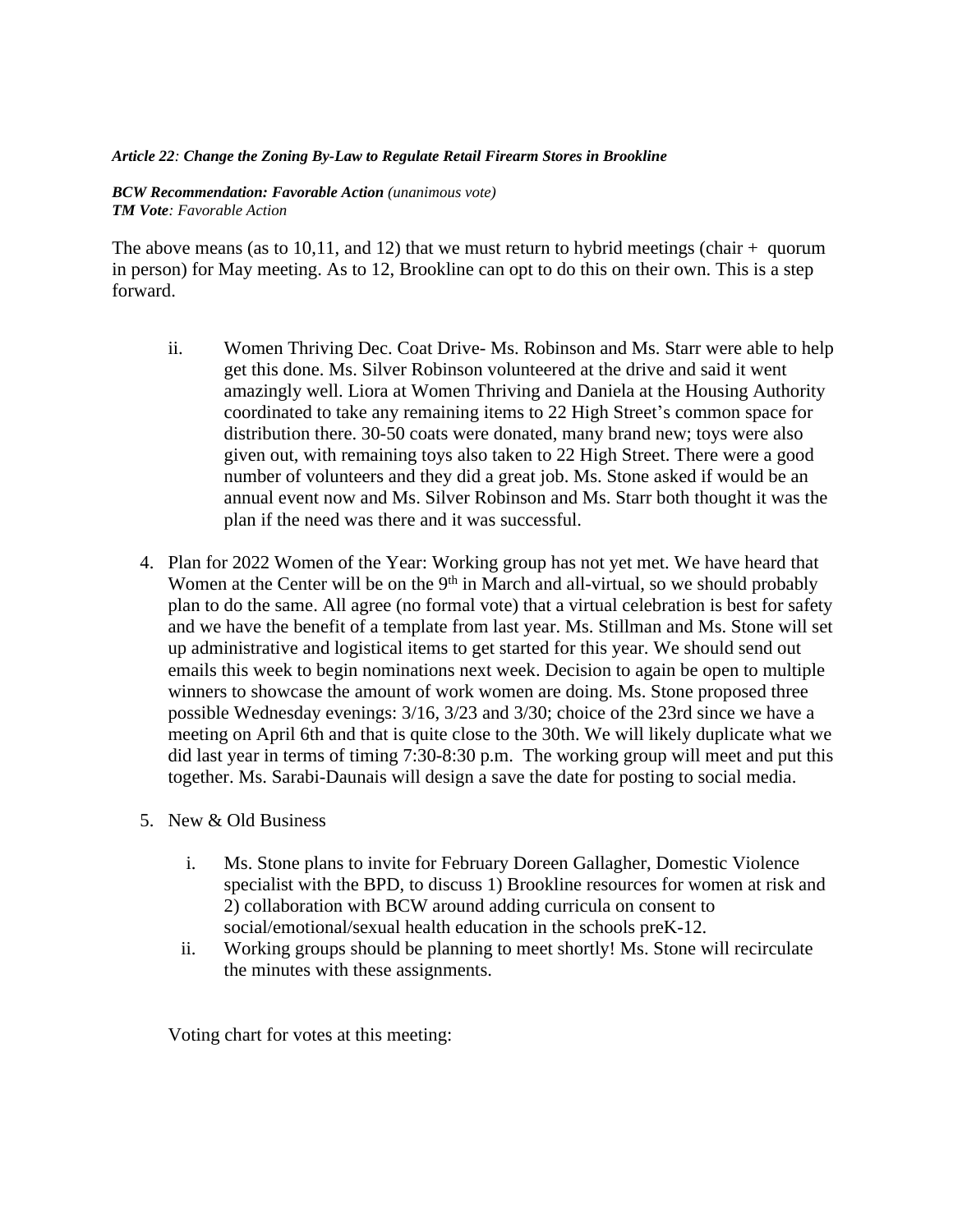#### *Article 22: Change the Zoning By-Law to Regulate Retail Firearm Stores in Brookline*

*BCW Recommendation: Favorable Action (unanimous vote) TM Vote: Favorable Action*

The above means (as to 10,11, and 12) that we must return to hybrid meetings (chair  $+$  quorum in person) for May meeting. As to 12, Brookline can opt to do this on their own. This is a step forward.

- ii. Women Thriving Dec. Coat Drive- Ms. Robinson and Ms. Starr were able to help get this done. Ms. Silver Robinson volunteered at the drive and said it went amazingly well. Liora at Women Thriving and Daniela at the Housing Authority coordinated to take any remaining items to 22 High Street's common space for distribution there. 30-50 coats were donated, many brand new; toys were also given out, with remaining toys also taken to 22 High Street. There were a good number of volunteers and they did a great job. Ms. Stone asked if would be an annual event now and Ms. Silver Robinson and Ms. Starr both thought it was the plan if the need was there and it was successful.
- 4. Plan for 2022 Women of the Year: Working group has not yet met. We have heard that Women at the Center will be on the 9<sup>th</sup> in March and all-virtual, so we should probably plan to do the same. All agree (no formal vote) that a virtual celebration is best for safety and we have the benefit of a template from last year. Ms. Stillman and Ms. Stone will set up administrative and logistical items to get started for this year. We should send out emails this week to begin nominations next week. Decision to again be open to multiple winners to showcase the amount of work women are doing. Ms. Stone proposed three possible Wednesday evenings: 3/16, 3/23 and 3/30; choice of the 23rd since we have a meeting on April 6th and that is quite close to the 30th. We will likely duplicate what we did last year in terms of timing 7:30-8:30 p.m. The working group will meet and put this together. Ms. Sarabi-Daunais will design a save the date for posting to social media.
- 5. New & Old Business
	- i. Ms. Stone plans to invite for February Doreen Gallagher, Domestic Violence specialist with the BPD, to discuss 1) Brookline resources for women at risk and 2) collaboration with BCW around adding curricula on consent to social/emotional/sexual health education in the schools preK-12.
	- ii. Working groups should be planning to meet shortly! Ms. Stone will recirculate the minutes with these assignments.

Voting chart for votes at this meeting: